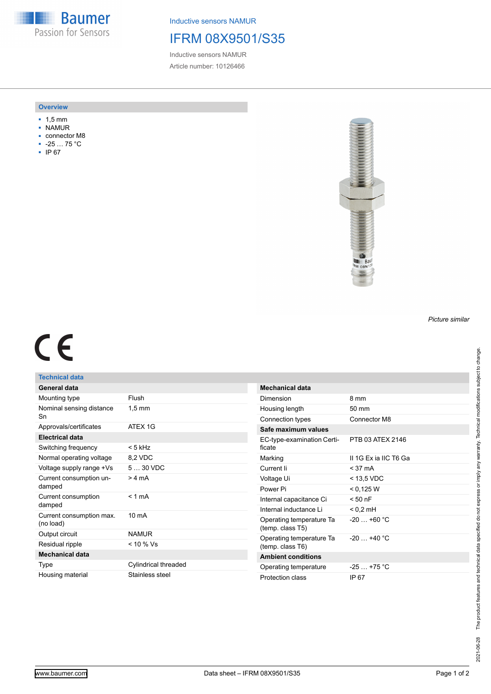**Baumer HALL** Passion for Sensors

Inductive sensors NAMUR

## IFRM 08X9501/S35

Inductive sensors NAMUR Article number: 10126466

### **Overview**

- 1,5 mm
- NAMUR
- connector M8
- -25 … 75 °C
- IP 67



# $C<sub>6</sub>$

## **Technical data**

| General data                          |                      |
|---------------------------------------|----------------------|
| Mounting type                         | Flush                |
| Nominal sensing distance<br>Sn        | $1,5 \text{ mm}$     |
| Approvals/certificates                | ATFX 1G              |
| <b>Electrical data</b>                |                      |
| Switching frequency                   | $< 5$ kHz            |
| Normal operating voltage              | 8,2 VDC              |
| Voltage supply range +Vs              | $530$ VDC            |
| Current consumption un-<br>damped     | $>4 \text{ mA}$      |
| Current consumption<br>damped         | $< 1$ mA             |
| Current consumption max.<br>(no load) | $10 \text{ mA}$      |
| Output circuit                        | <b>NAMUR</b>         |
| Residual ripple                       | $< 10 \%$ Vs         |
| <b>Mechanical data</b>                |                      |
| Type                                  | Cylindrical threaded |
| Housing material                      | Stainless steel      |

| <b>Mechanical data</b>                       |                      |
|----------------------------------------------|----------------------|
| Dimension                                    | 8 mm                 |
| Housing length                               | $50 \text{ mm}$      |
| Connection types                             | Connector M8         |
| Safe maximum values                          |                      |
| EC-type-examination Certi-<br>ficate         | PTB 03 ATFX 2146     |
| Marking                                      | IL1G Ex ia IIC T6 Ga |
| Current li                                   | $<$ 37 mA            |
| Voltage Ui                                   | < 13,5 VDC           |
| Power Pi                                     | < 0.125 W            |
| Internal capacitance Ci                      | $< 50$ nF            |
| Internal inductance Li                       | $< 0.2$ mH           |
| Operating temperature Ta<br>(temp. class T5) | $-20 + 60 °C$        |
| Operating temperature Ta<br>(temp. class T6) | $-20 + 40 °C$        |
| <b>Ambient conditions</b>                    |                      |
| Operating temperature                        | $-25+75 °C$          |
| Protection class                             | IP 67                |

*Picture similar*